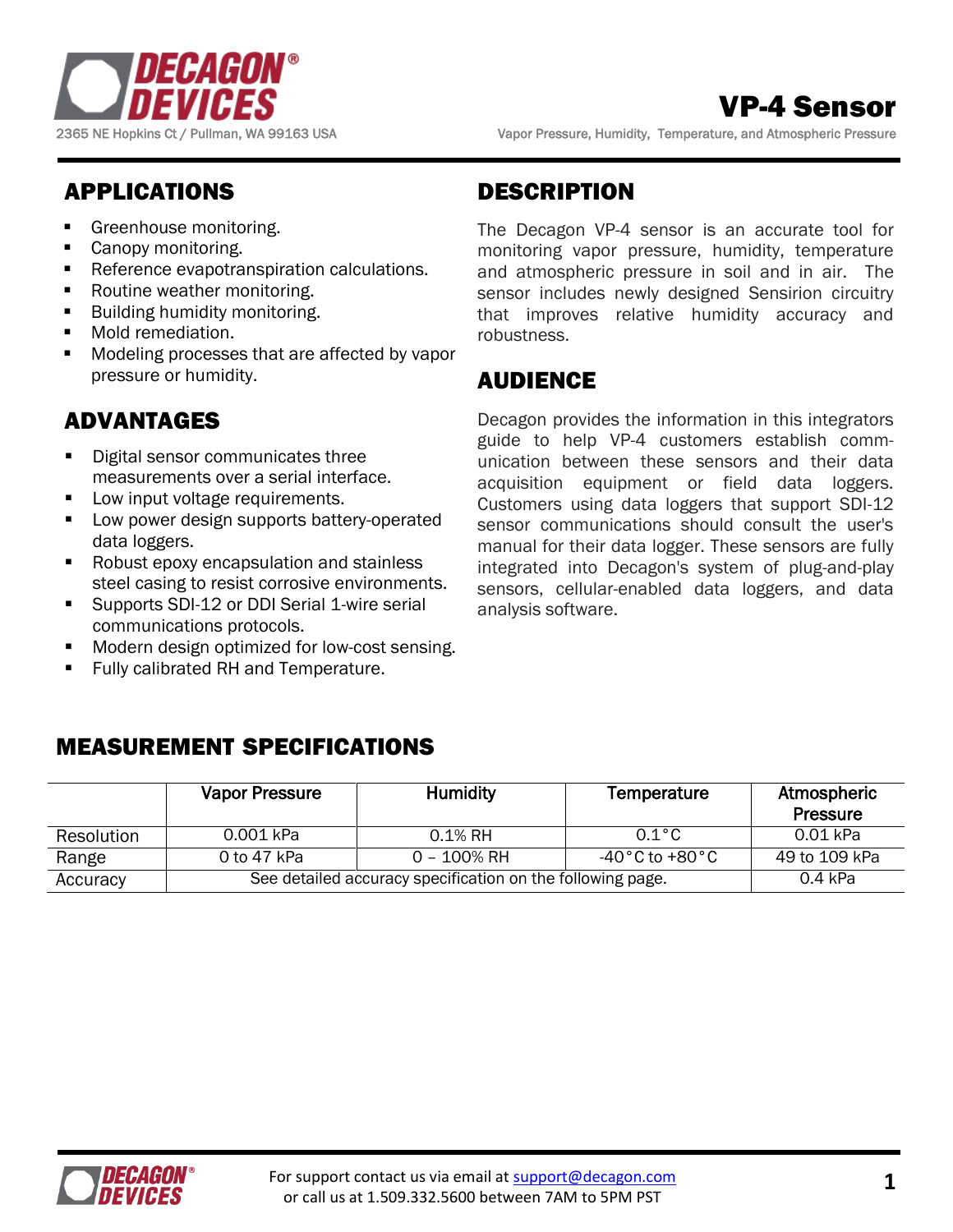

# VP-4 Sensor

2365 NE Hopkins Ct / Pullman, WA 99163 USA Vapor Pressure, Humidity, Temperature, and Atmospheric Pressure

# APPLICATIONS

- Greenhouse monitoring.
- **Canopy monitoring.**
- **Reference evapotranspiration calculations.**
- **Routine weather monitoring.**
- **Building humidity monitoring.**
- **Mold remediation.**
- Modeling processes that are affected by vapor pressure or humidity.

# ADVANTAGES

- Digital sensor communicates three measurements over a serial interface.
- **Low input voltage requirements.**
- **Low power design supports battery-operated** data loggers.
- Robust epoxy encapsulation and stainless steel casing to resist corrosive environments.
- Supports SDI-12 or DDI Serial 1-wire serial communications protocols.
- Modern design optimized for low-cost sensing.
- Fully calibrated RH and Temperature.

# DESCRIPTION

The Decagon VP-4 sensor is an accurate tool for monitoring vapor pressure, humidity, temperature and atmospheric pressure in soil and in air. The sensor includes newly designed Sensirion circuitry that improves relative humidity accuracy and robustness.

# AUDIENCE

Decagon provides the information in this integrators guide to help VP-4 customers establish communication between these sensors and their data acquisition equipment or field data loggers. Customers using data loggers that support SDI-12 sensor communications should consult the user's manual for their data logger. These sensors are fully integrated into Decagon's system of plug-and-play sensors, cellular-enabled data loggers, and data analysis software.

|            | <b>Vapor Pressure</b> | <b>Humidity</b>                                            | Temperature                       | Atmospheric<br><b>Pressure</b> |
|------------|-----------------------|------------------------------------------------------------|-----------------------------------|--------------------------------|
| Resolution | 0.001 kPa             | $0.1\%$ RH                                                 | $0.1^{\circ}$ C                   | 0.01 kPa                       |
| Range      | 0 to 47 kPa           | 0 – 100% RH                                                | $-40\degree$ C to +80 $\degree$ C | 49 to 109 kPa                  |
| Accuracy   |                       | See detailed accuracy specification on the following page. |                                   | 0.4 kPa                        |

# MEASUREMENT SPECIFICATIONS

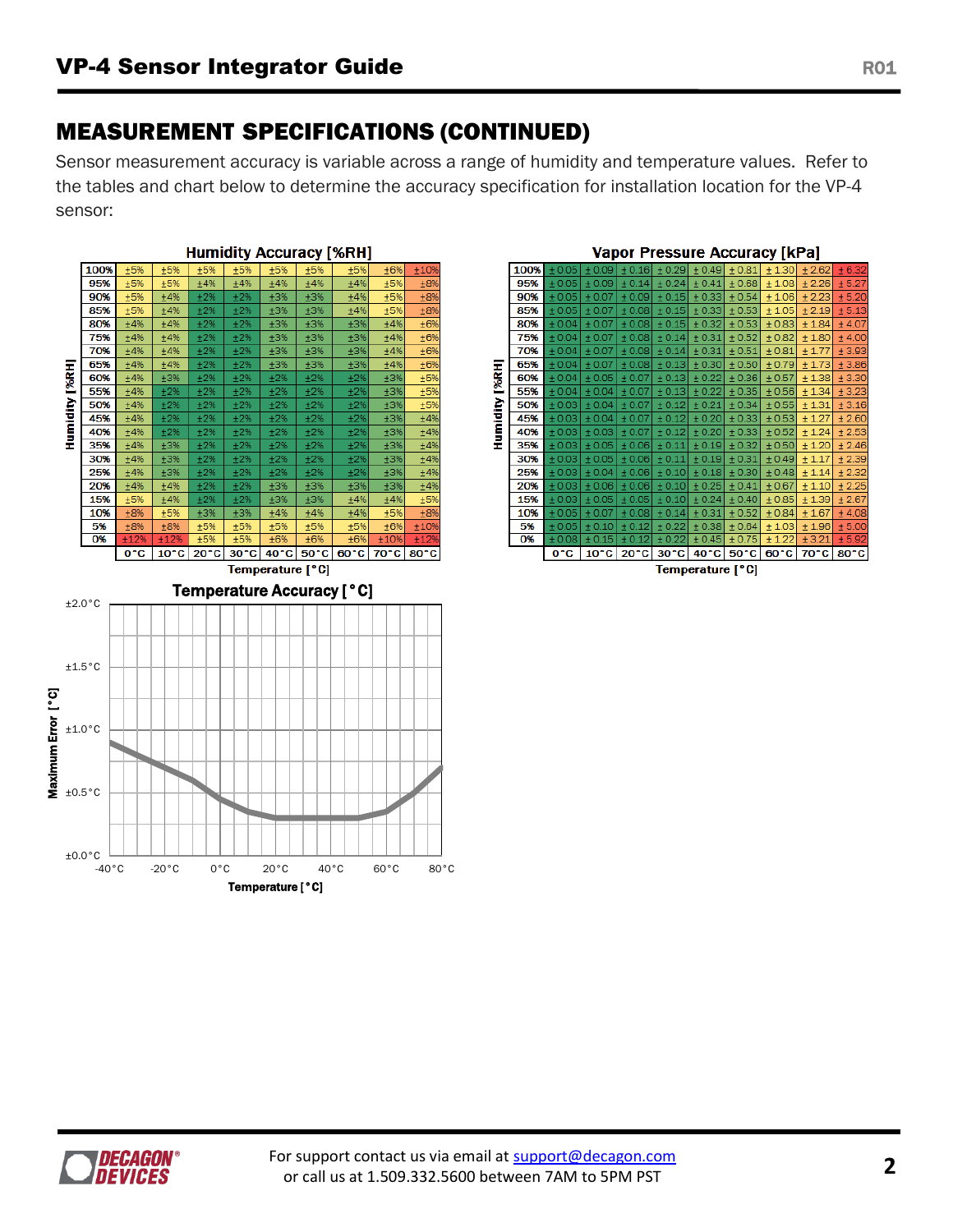# MEASUREMENT SPECIFICATIONS (CONTINUED)

Sensor measurement accuracy is variable across a range of humidity and temperature values. Refer to the tables and chart below to determine the accuracy specification for installation location for the VP-4 sensor:





*DECAGON® DEVICES*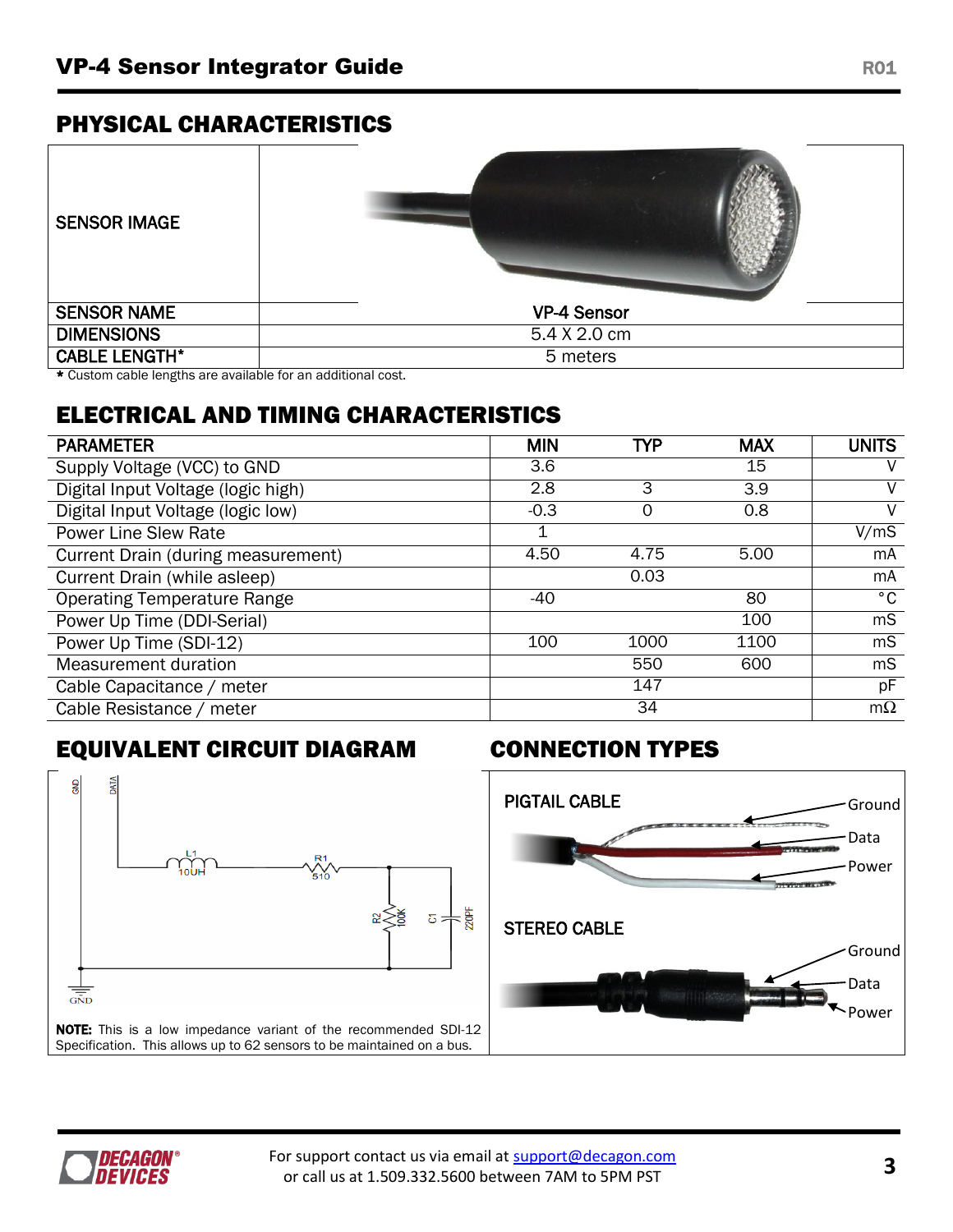## PHYSICAL CHARACTERISTICS

| <b>SENSOR IMAGE</b>  |                    |
|----------------------|--------------------|
| <b>SENSOR NAME</b>   | <b>VP-4 Sensor</b> |
| <b>DIMENSIONS</b>    | 5.4 X 2.0 cm       |
| <b>CABLE LENGTH*</b> | 5 meters           |

\* Custom cable lengths are available for an additional cost.

# ELECTRICAL AND TIMING CHARACTERISTICS

| <b>PARAMETER</b>                   | <b>MIN</b> | TYP  | <b>MAX</b> | <b>UNITS</b> |
|------------------------------------|------------|------|------------|--------------|
| Supply Voltage (VCC) to GND        | 3.6        |      | 15         | V            |
| Digital Input Voltage (logic high) | 2.8        | 3    | 3.9        | V            |
| Digital Input Voltage (logic low)  | $-0.3$     | 0    | 0.8        | V            |
| <b>Power Line Slew Rate</b>        |            |      |            | V/mS         |
| Current Drain (during measurement) | 4.50       | 4.75 | 5.00       | mA           |
| Current Drain (while asleep)       |            | 0.03 |            | mA           |
| <b>Operating Temperature Range</b> | $-40$      |      | 80         | $^{\circ}$ C |
| Power Up Time (DDI-Serial)         |            |      | 100        | mS           |
| Power Up Time (SDI-12)             | 100        | 1000 | 1100       | mS           |
| Measurement duration               |            | 550  | 600        | mS           |
| Cable Capacitance / meter          |            | 147  |            | pF           |
| Cable Resistance / meter           |            | 34   |            | $m\Omega$    |

# EQUIVALENT CIRCUIT DIAGRAM CONNECTION TYPES





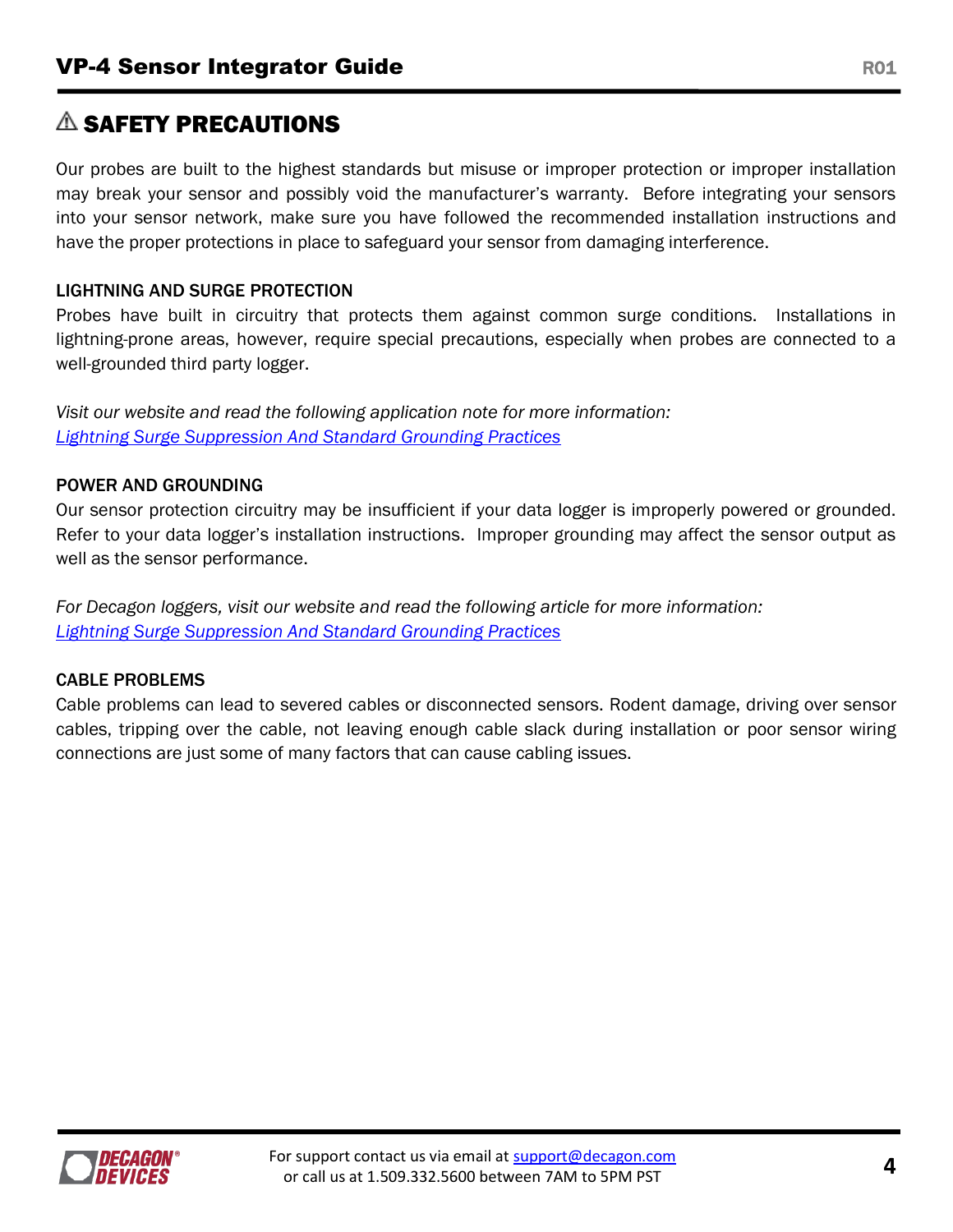# $\triangle$  SAFETY PRECAUTIONS

Our probes are built to the highest standards but misuse or improper protection or improper installation may break your sensor and possibly void the manufacturer's warranty. Before integrating your sensors into your sensor network, make sure you have followed the recommended installation instructions and have the proper protections in place to safeguard your sensor from damaging interference.

## LIGHTNING AND SURGE PROTECTION

Probes have built in circuitry that protects them against common surge conditions. Installations in lightning-prone areas, however, require special precautions, especially when probes are connected to a well-grounded third party logger.

*Visit our website and read the following application note for more information: [Lightning Surge Suppression And Standard Grounding Practices](http://www.decagon.com/assets/Uploads/14516-01-AN-Lightning-Surge-Suppression-And-Standard-Grounding.pdf)*

## POWER AND GROUNDING

Our sensor protection circuitry may be insufficient if your data logger is improperly powered or grounded. Refer to your data logger's installation instructions. Improper grounding may affect the sensor output as well as the sensor performance.

*For Decagon loggers, visit our website and read the following article for more information: [Lightning Surge Suppression And Standard Grounding Practices](http://www.decagon.com/assets/Uploads/14516-01-AN-Lightning-Surge-Suppression-And-Standard-Grounding.pdf)*

## CABLE PROBLEMS

Cable problems can lead to severed cables or disconnected sensors. Rodent damage, driving over sensor cables, tripping over the cable, not leaving enough cable slack during installation or poor sensor wiring connections are just some of many factors that can cause cabling issues.

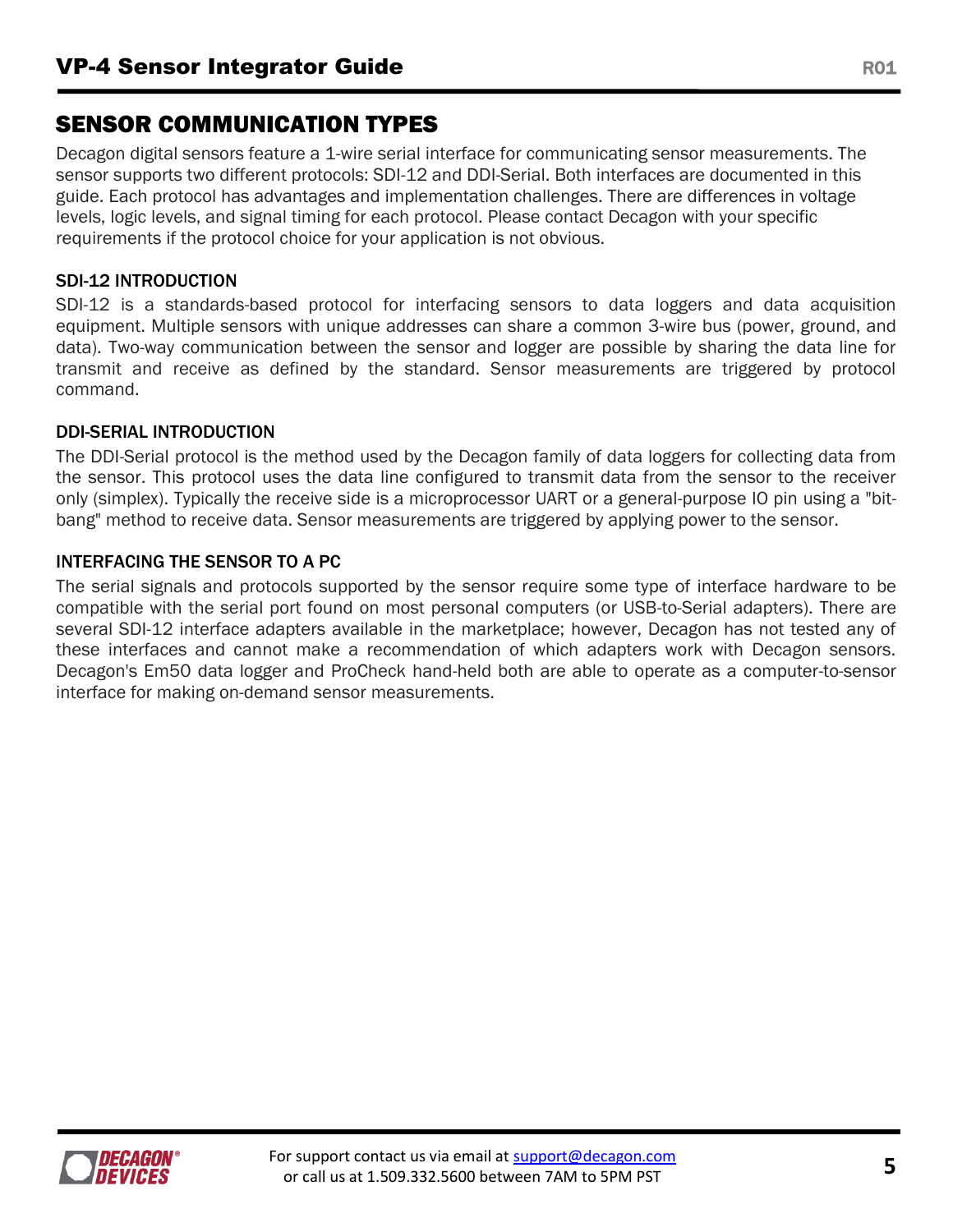# SENSOR COMMUNICATION TYPES

Decagon digital sensors feature a 1-wire serial interface for communicating sensor measurements. The sensor supports two different protocols: SDI-12 and DDI-Serial. Both interfaces are documented in this guide. Each protocol has advantages and implementation challenges. There are differences in voltage levels, logic levels, and signal timing for each protocol. Please contact Decagon with your specific requirements if the protocol choice for your application is not obvious.

## SDI-12 INTRODUCTION

SDI-12 is a standards-based protocol for interfacing sensors to data loggers and data acquisition equipment. Multiple sensors with unique addresses can share a common 3-wire bus (power, ground, and data). Two-way communication between the sensor and logger are possible by sharing the data line for transmit and receive as defined by the standard. Sensor measurements are triggered by protocol command.

## DDI-SERIAL INTRODUCTION

The DDI-Serial protocol is the method used by the Decagon family of data loggers for collecting data from the sensor. This protocol uses the data line configured to transmit data from the sensor to the receiver only (simplex). Typically the receive side is a microprocessor UART or a general-purpose IO pin using a "bitbang" method to receive data. Sensor measurements are triggered by applying power to the sensor.

## INTERFACING THE SENSOR TO A PC

The serial signals and protocols supported by the sensor require some type of interface hardware to be compatible with the serial port found on most personal computers (or USB-to-Serial adapters). There are several SDI-12 interface adapters available in the marketplace; however, Decagon has not tested any of these interfaces and cannot make a recommendation of which adapters work with Decagon sensors. Decagon's Em50 data logger and ProCheck hand-held both are able to operate as a computer-to-sensor interface for making on-demand sensor measurements.

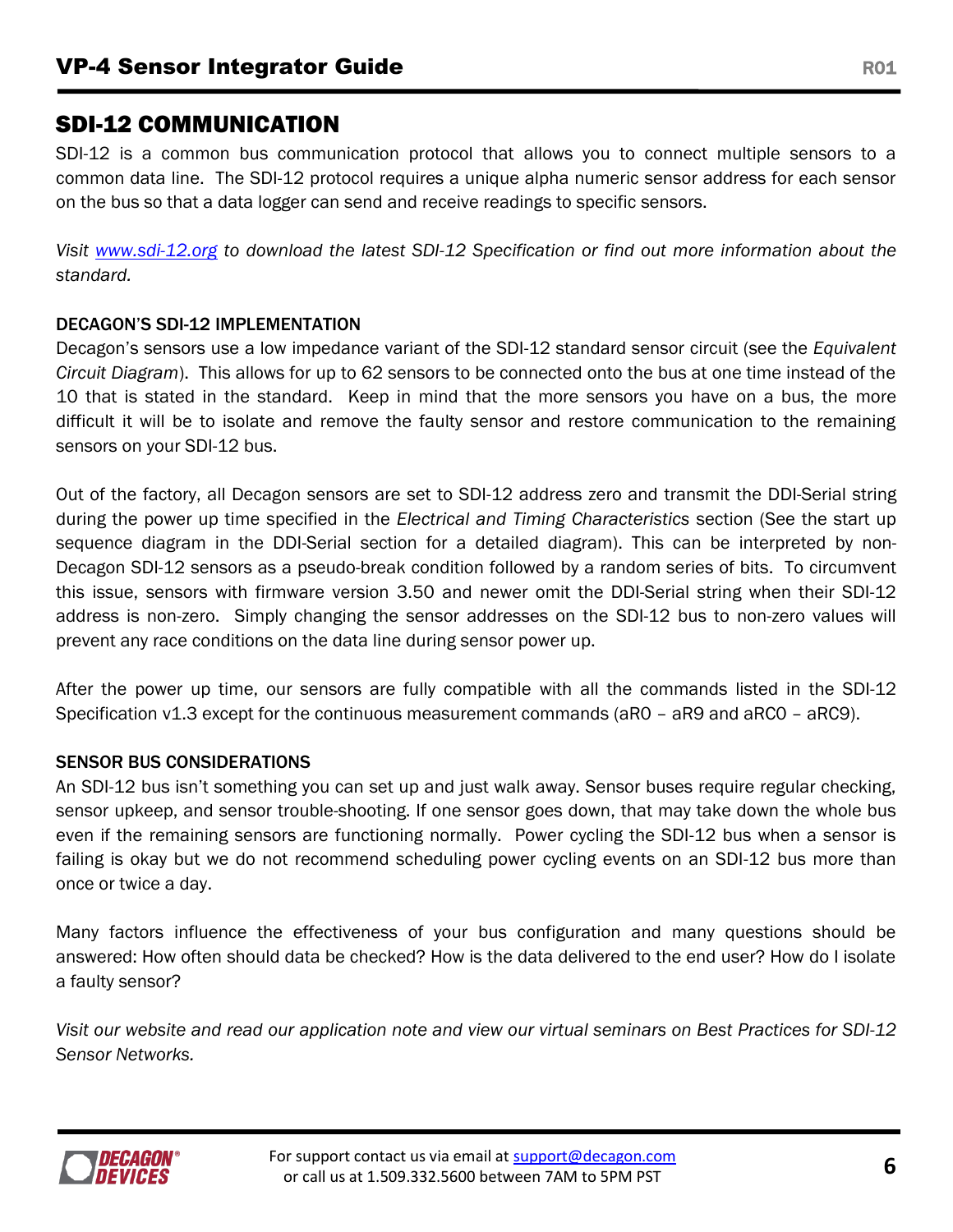# SDI-12 COMMUNICATION

SDI-12 is a common bus communication protocol that allows you to connect multiple sensors to a common data line. The SDI-12 protocol requires a unique alpha numeric sensor address for each sensor on the bus so that a data logger can send and receive readings to specific sensors.

*Visit [www.sdi-12.org](file:///C:/Users/ben/Desktop/www.sdi-12.org) to download the latest SDI-12 Specification or find out more information about the standard.*

## DECAGON'S SDI-12 IMPLEMENTATION

Decagon's sensors use a low impedance variant of the SDI-12 standard sensor circuit (see the *Equivalent Circuit Diagram*). This allows for up to 62 sensors to be connected onto the bus at one time instead of the 10 that is stated in the standard. Keep in mind that the more sensors you have on a bus, the more difficult it will be to isolate and remove the faulty sensor and restore communication to the remaining sensors on your SDI-12 bus.

Out of the factory, all Decagon sensors are set to SDI-12 address zero and transmit the DDI-Serial string during the power up time specified in the *Electrical and Timing Characteristics* section (See the start up sequence diagram in the DDI-Serial section for a detailed diagram). This can be interpreted by non-Decagon SDI-12 sensors as a pseudo-break condition followed by a random series of bits. To circumvent this issue, sensors with firmware version 3.50 and newer omit the DDI-Serial string when their SDI-12 address is non-zero. Simply changing the sensor addresses on the SDI-12 bus to non-zero values will prevent any race conditions on the data line during sensor power up.

After the power up time, our sensors are fully compatible with all the commands listed in the SDI-12 Specification v1.3 except for the continuous measurement commands (aR0 – aR9 and aRC0 – aRC9).

## SENSOR BUS CONSIDERATIONS

An SDI-12 bus isn't something you can set up and just walk away. Sensor buses require regular checking, sensor upkeep, and sensor trouble-shooting. If one sensor goes down, that may take down the whole bus even if the remaining sensors are functioning normally. Power cycling the SDI-12 bus when a sensor is failing is okay but we do not recommend scheduling power cycling events on an SDI-12 bus more than once or twice a day.

Many factors influence the effectiveness of your bus configuration and many questions should be answered: How often should data be checked? How is the data delivered to the end user? How do I isolate a faulty sensor?

*Visit our website and read our application note and view our virtual seminars on Best Practices for SDI-12 Sensor Networks.*

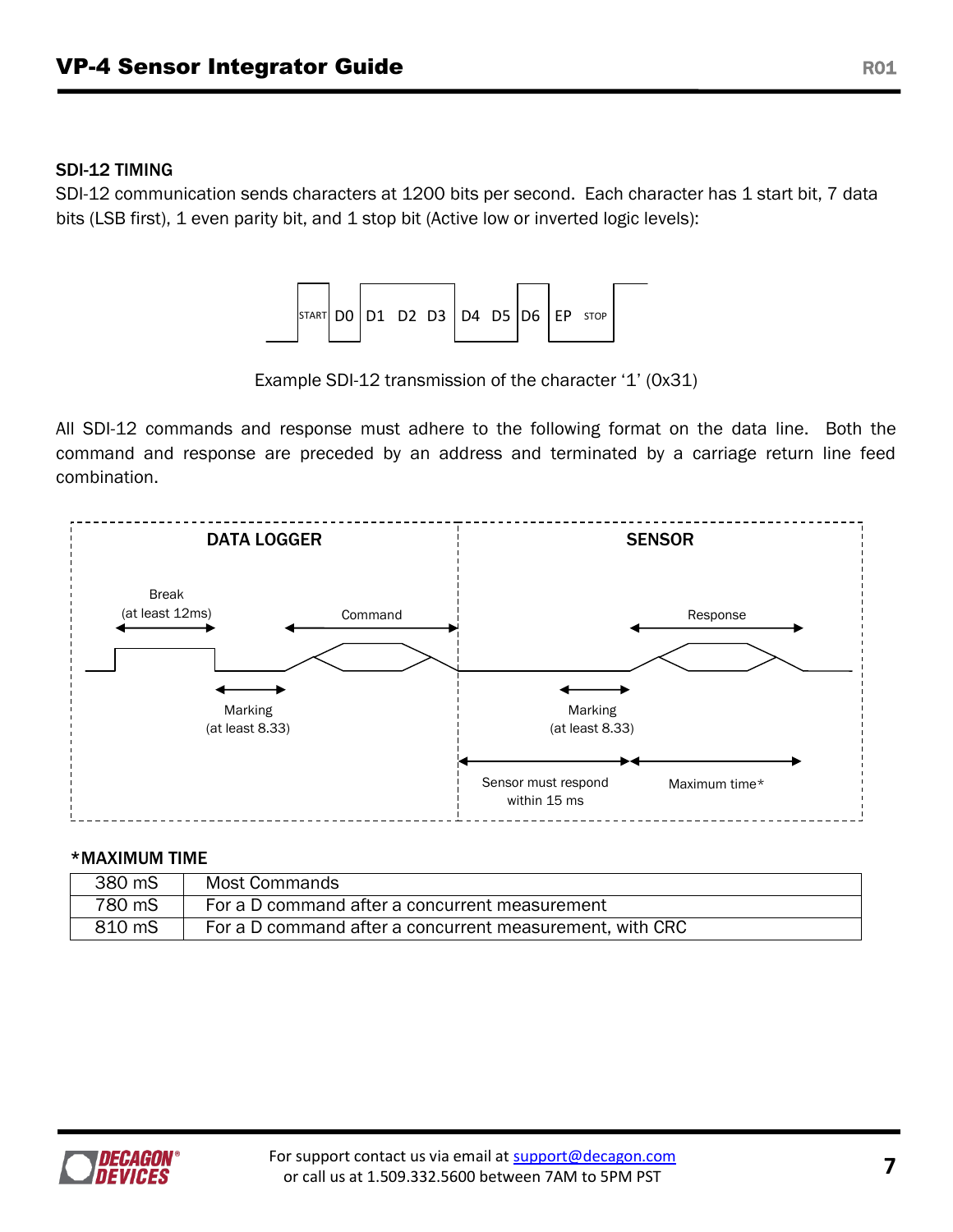### SDI-12 TIMING

SDI-12 communication sends characters at 1200 bits per second. Each character has 1 start bit, 7 data bits (LSB first), 1 even parity bit, and 1 stop bit (Active low or inverted logic levels):



Example SDI-12 transmission of the character '1' (0x31)

All SDI-12 commands and response must adhere to the following format on the data line. Both the command and response are preceded by an address and terminated by a carriage return line feed combination.



#### \*MAXIMUM TIME

| 380 mS | Most Commands                                            |
|--------|----------------------------------------------------------|
| 780 mS | For a D command after a concurrent measurement           |
| 810 mS | For a D command after a concurrent measurement, with CRC |

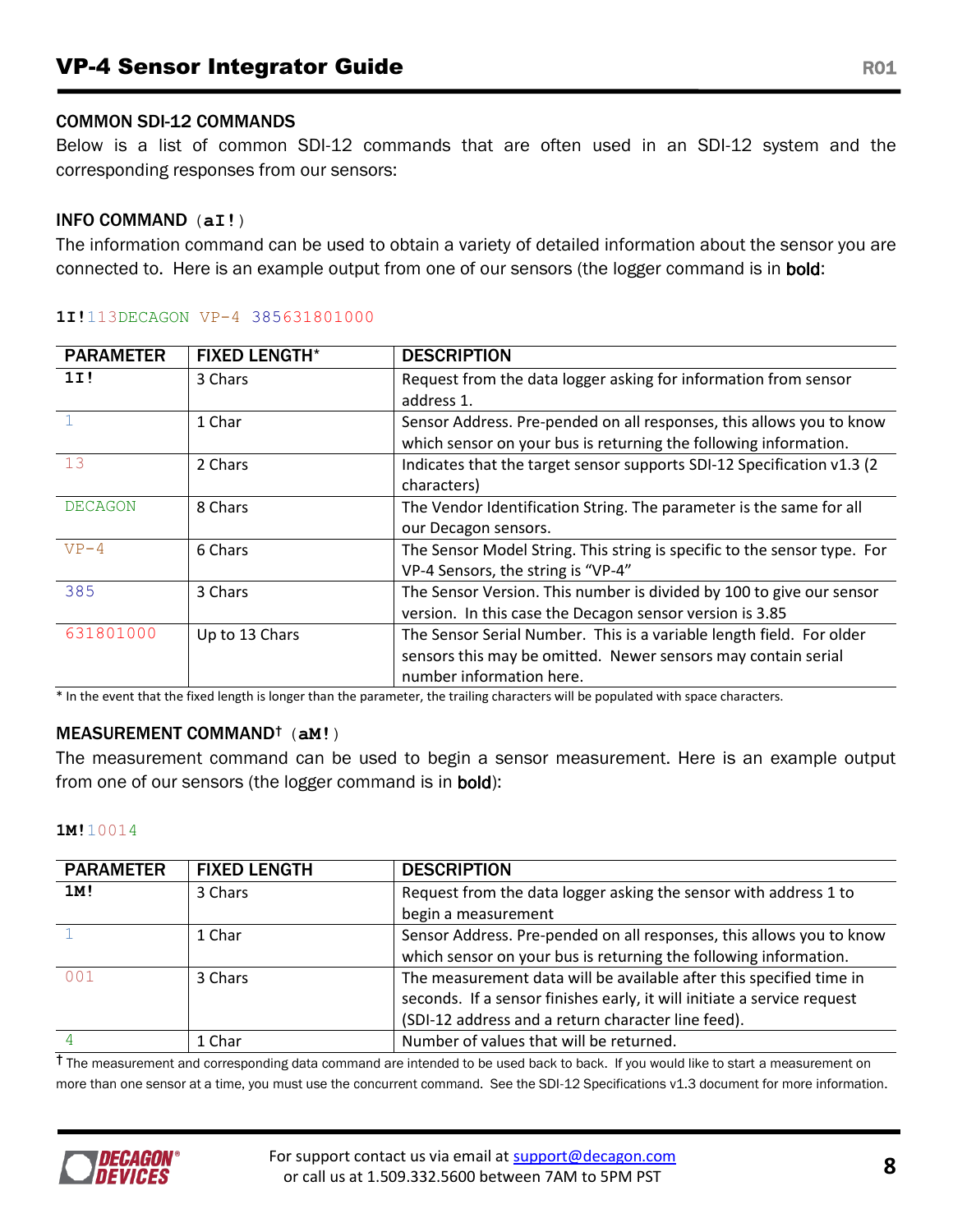#### COMMON SDI-12 COMMANDS

Below is a list of common SDI-12 commands that are often used in an SDI-12 system and the corresponding responses from our sensors:

#### INFO COMMAND (**aI!**)

The information command can be used to obtain a variety of detailed information about the sensor you are connected to. Here is an example output from one of our sensors (the logger command is in bold:

| <b>PARAMETER</b> | <b>FIXED LENGTH*</b> | <b>DESCRIPTION</b>                                                       |
|------------------|----------------------|--------------------------------------------------------------------------|
| 11!              | 3 Chars              | Request from the data logger asking for information from sensor          |
|                  |                      | address 1.                                                               |
|                  | 1 Char               | Sensor Address. Pre-pended on all responses, this allows you to know     |
|                  |                      | which sensor on your bus is returning the following information.         |
| 13               | 2 Chars              | Indicates that the target sensor supports SDI-12 Specification v1.3 (2   |
|                  |                      | characters)                                                              |
| <b>DECAGON</b>   | 8 Chars              | The Vendor Identification String. The parameter is the same for all      |
|                  |                      | our Decagon sensors.                                                     |
| $VP-4$           | 6 Chars              | The Sensor Model String. This string is specific to the sensor type. For |
|                  |                      | VP-4 Sensors, the string is "VP-4"                                       |
| 385              | 3 Chars              | The Sensor Version. This number is divided by 100 to give our sensor     |
|                  |                      | version. In this case the Decagon sensor version is 3.85                 |
| 631801000        | Up to 13 Chars       | The Sensor Serial Number. This is a variable length field. For older     |
|                  |                      | sensors this may be omitted. Newer sensors may contain serial            |
|                  |                      | number information here.                                                 |

#### **1I!**113DECAGON VP-4 385631801000

\* In the event that the fixed length is longer than the parameter, the trailing characters will be populated with space characters.

#### MEASUREMENT COMMAND† (**aM!**)

The measurement command can be used to begin a sensor measurement. Here is an example output from one of our sensors (the logger command is in bold):

#### **1M!**10014

| <b>PARAMETER</b> | <b>FIXED LENGTH</b> | <b>DESCRIPTION</b>                                                      |
|------------------|---------------------|-------------------------------------------------------------------------|
| 1M!              | 3 Chars             | Request from the data logger asking the sensor with address 1 to        |
|                  |                     | begin a measurement                                                     |
|                  | 1 Char              | Sensor Address. Pre-pended on all responses, this allows you to know    |
|                  |                     | which sensor on your bus is returning the following information.        |
| 0 <sub>0</sub> 1 | 3 Chars             | The measurement data will be available after this specified time in     |
|                  |                     | seconds. If a sensor finishes early, it will initiate a service request |
|                  |                     | (SDI-12 address and a return character line feed).                      |
|                  | 1 Char              | Number of values that will be returned.                                 |

<sup>†</sup> The measurement and corresponding data command are intended to be used back to back. If you would like to start a measurement on more than one sensor at a time, you must use the concurrent command. See the SDI-12 Specifications v1.3 document for more information.

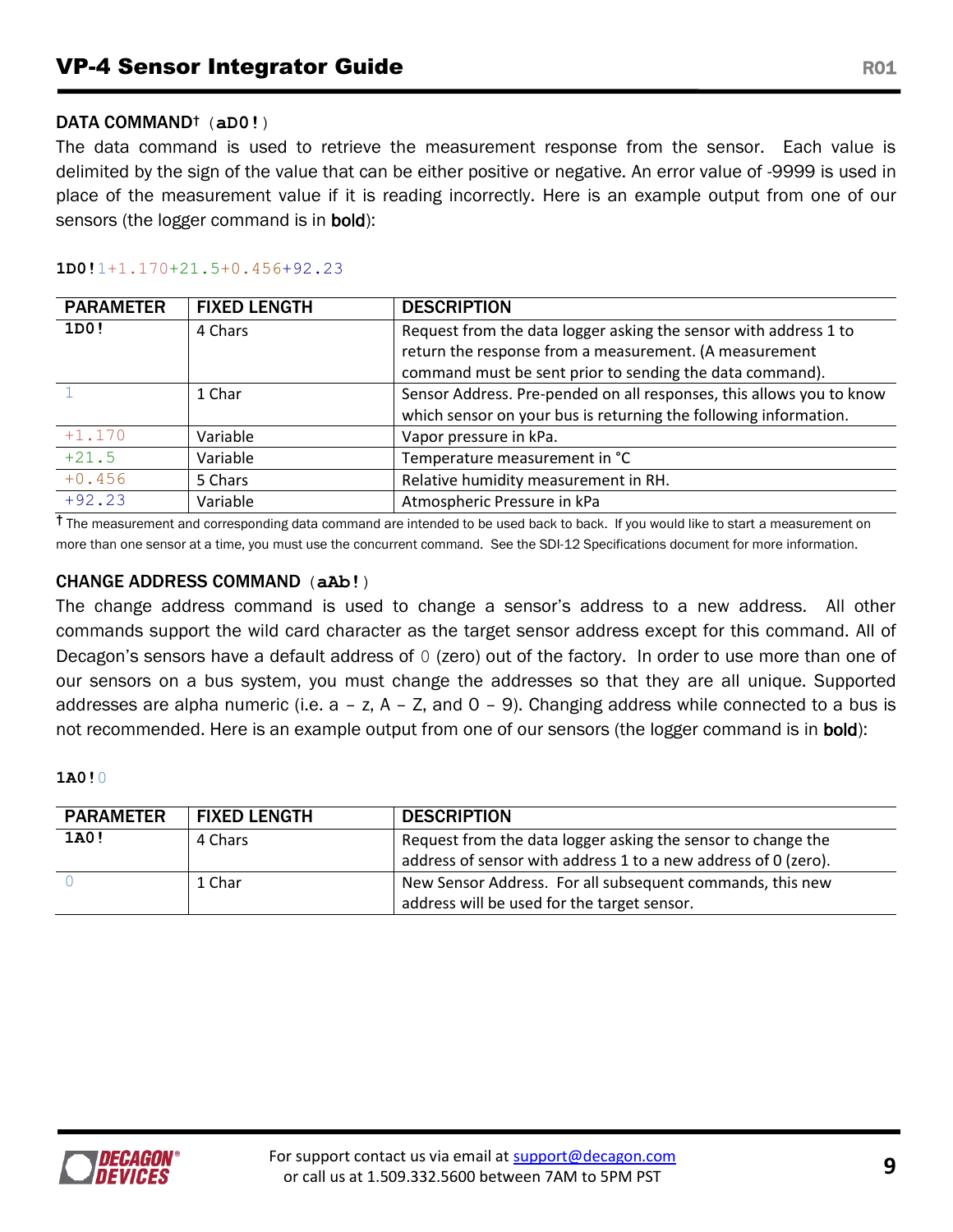#### DATA COMMAND† (**aD0!**)

The data command is used to retrieve the measurement response from the sensor. Each value is delimited by the sign of the value that can be either positive or negative. An error value of -9999 is used in place of the measurement value if it is reading incorrectly. Here is an example output from one of our sensors (the logger command is in **bold**):

#### **1D0!**1+1.170+21.5+0.456+92.23

| <b>PARAMETER</b> | <b>FIXED LENGTH</b> | <b>DESCRIPTION</b>                                                   |
|------------------|---------------------|----------------------------------------------------------------------|
| 1D0!             | 4 Chars             | Request from the data logger asking the sensor with address 1 to     |
|                  |                     | return the response from a measurement. (A measurement               |
|                  |                     | command must be sent prior to sending the data command).             |
|                  | 1 Char              | Sensor Address. Pre-pended on all responses, this allows you to know |
|                  |                     | which sensor on your bus is returning the following information.     |
| $+1.170$         | Variable            | Vapor pressure in kPa.                                               |
| $+21.5$          | Variable            | Temperature measurement in °C                                        |
| $+0.456$         | 5 Chars             | Relative humidity measurement in RH.                                 |
| $+92.23$         | Variable            | Atmospheric Pressure in kPa                                          |

<sup>†</sup> The measurement and corresponding data command are intended to be used back to back. If you would like to start a measurement on more than one sensor at a time, you must use the concurrent command. See the SDI-12 Specifications document for more information.

#### CHANGE ADDRESS COMMAND (**aAb!**)

The change address command is used to change a sensor's address to a new address. All other commands support the wild card character as the target sensor address except for this command. All of Decagon's sensors have a default address of 0 (zero) out of the factory. In order to use more than one of our sensors on a bus system, you must change the addresses so that they are all unique. Supported addresses are alpha numeric (i.e.  $a - z$ ,  $A - Z$ , and  $O - 9$ ). Changing address while connected to a bus is not recommended. Here is an example output from one of our sensors (the logger command is in bold):

#### **1A0!**0

| <b>PARAMETER</b> | <b>FIXED LENGTH</b> | <b>DESCRIPTION</b>                                             |
|------------------|---------------------|----------------------------------------------------------------|
| 1A0!             | 4 Chars             | Request from the data logger asking the sensor to change the   |
|                  |                     | address of sensor with address 1 to a new address of 0 (zero). |
|                  | 1 Char              | New Sensor Address. For all subsequent commands, this new      |
|                  |                     | address will be used for the target sensor.                    |

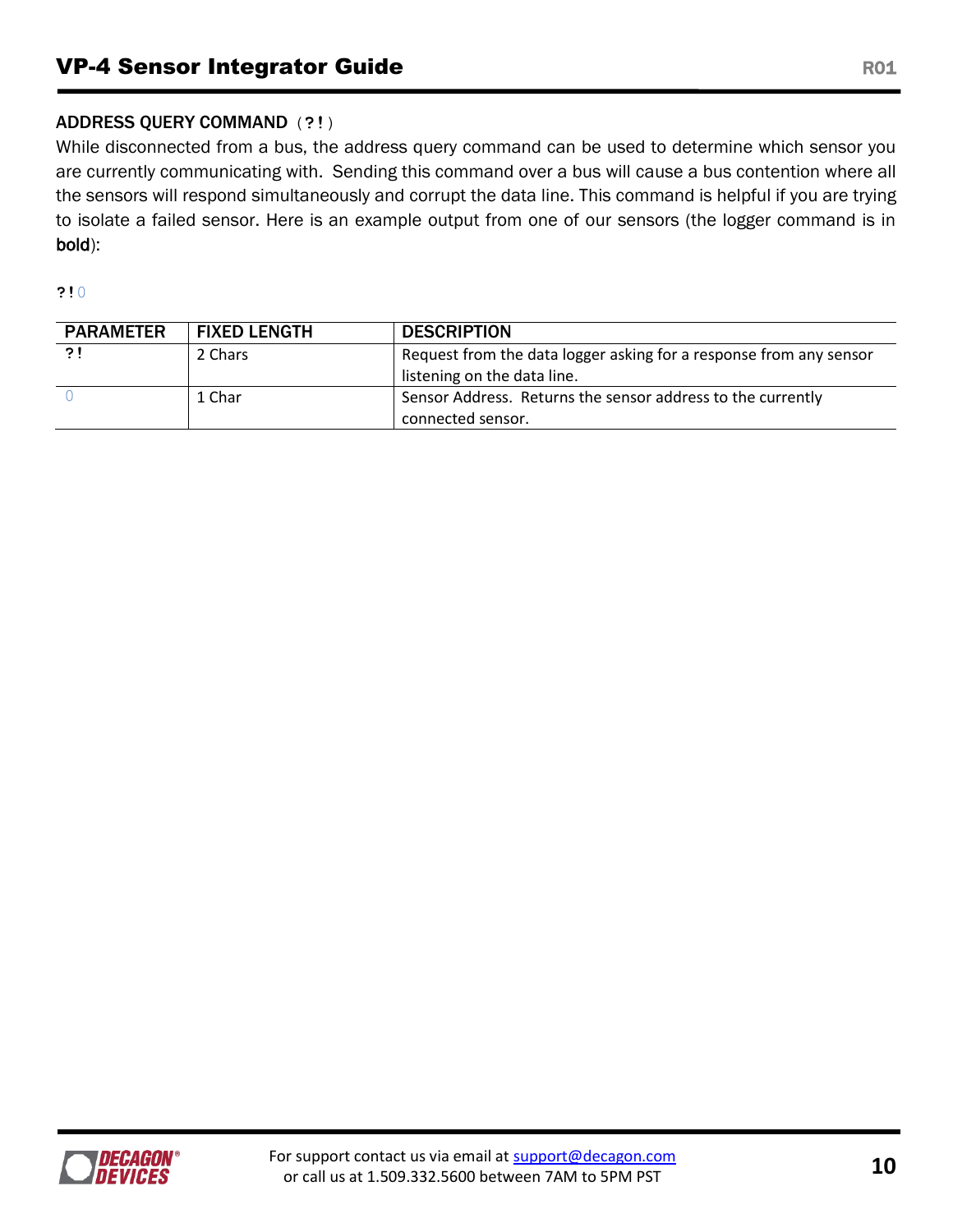## ADDRESS QUERY COMMAND (**?!**)

While disconnected from a bus, the address query command can be used to determine which sensor you are currently communicating with. Sending this command over a bus will cause a bus contention where all the sensors will respond simultaneously and corrupt the data line. This command is helpful if you are trying to isolate a failed sensor. Here is an example output from one of our sensors (the logger command is in bold):

**?!**0

| <b>PARAMETER</b> | <b>FIXED LENGTH</b> | <b>DESCRIPTION</b>                                                 |
|------------------|---------------------|--------------------------------------------------------------------|
| ?!               | 2 Chars             | Request from the data logger asking for a response from any sensor |
|                  |                     | listening on the data line.                                        |
|                  | 1 Char              | Sensor Address. Returns the sensor address to the currently        |
|                  |                     | connected sensor.                                                  |

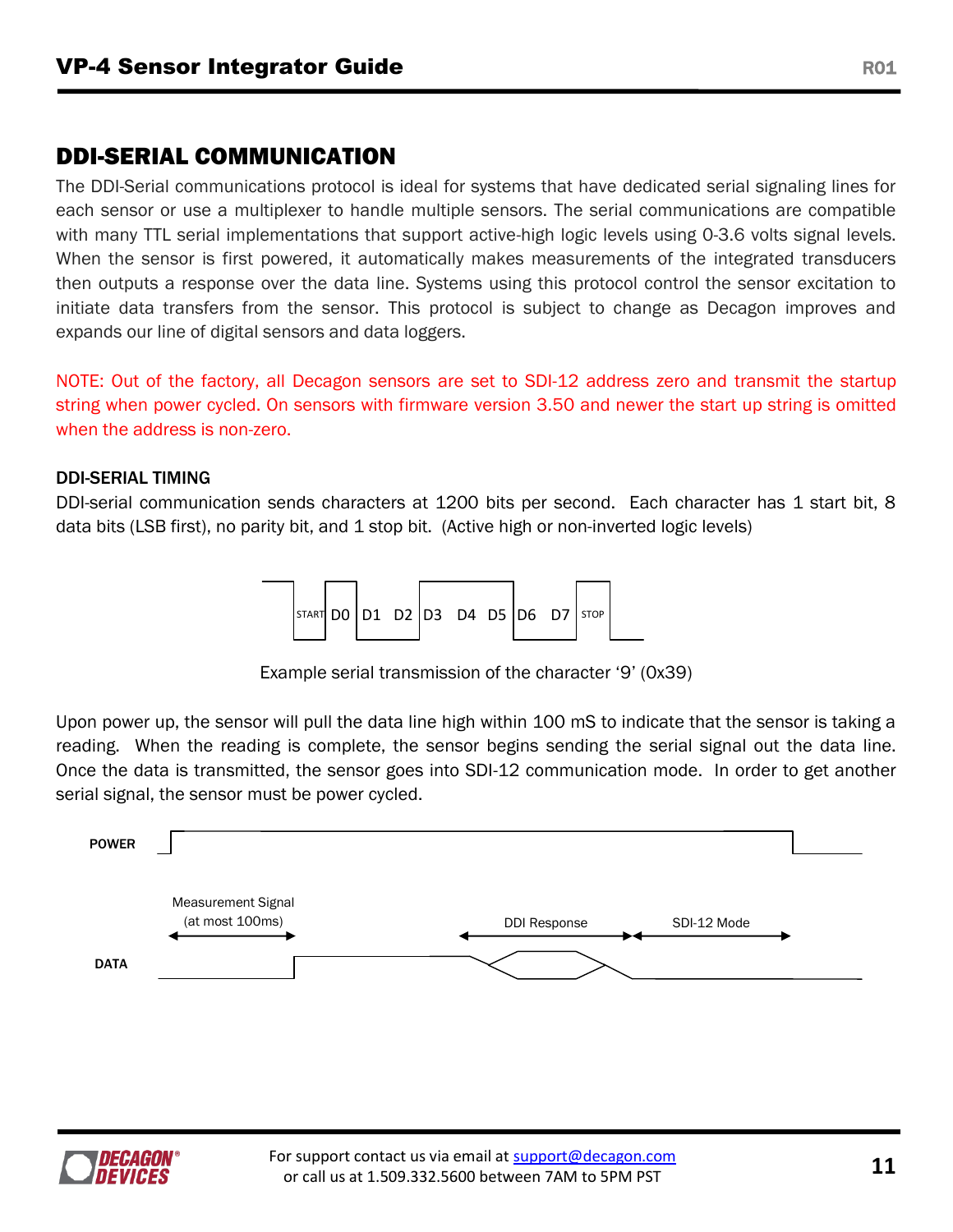## DDI-SERIAL COMMUNICATION

The DDI-Serial communications protocol is ideal for systems that have dedicated serial signaling lines for each sensor or use a multiplexer to handle multiple sensors. The serial communications are compatible with many TTL serial implementations that support active-high logic levels using 0-3.6 volts signal levels. When the sensor is first powered, it automatically makes measurements of the integrated transducers then outputs a response over the data line. Systems using this protocol control the sensor excitation to initiate data transfers from the sensor. This protocol is subject to change as Decagon improves and expands our line of digital sensors and data loggers.

NOTE: Out of the factory, all Decagon sensors are set to SDI-12 address zero and transmit the startup string when power cycled. On sensors with firmware version 3.50 and newer the start up string is omitted when the address is non-zero.

#### DDI-SERIAL TIMING

DDI-serial communication sends characters at 1200 bits per second. Each character has 1 start bit, 8 data bits (LSB first), no parity bit, and 1 stop bit. (Active high or non-inverted logic levels)



Example serial transmission of the character '9' (0x39)

Upon power up, the sensor will pull the data line high within 100 mS to indicate that the sensor is taking a reading. When the reading is complete, the sensor begins sending the serial signal out the data line. Once the data is transmitted, the sensor goes into SDI-12 communication mode. In order to get another serial signal, the sensor must be power cycled.



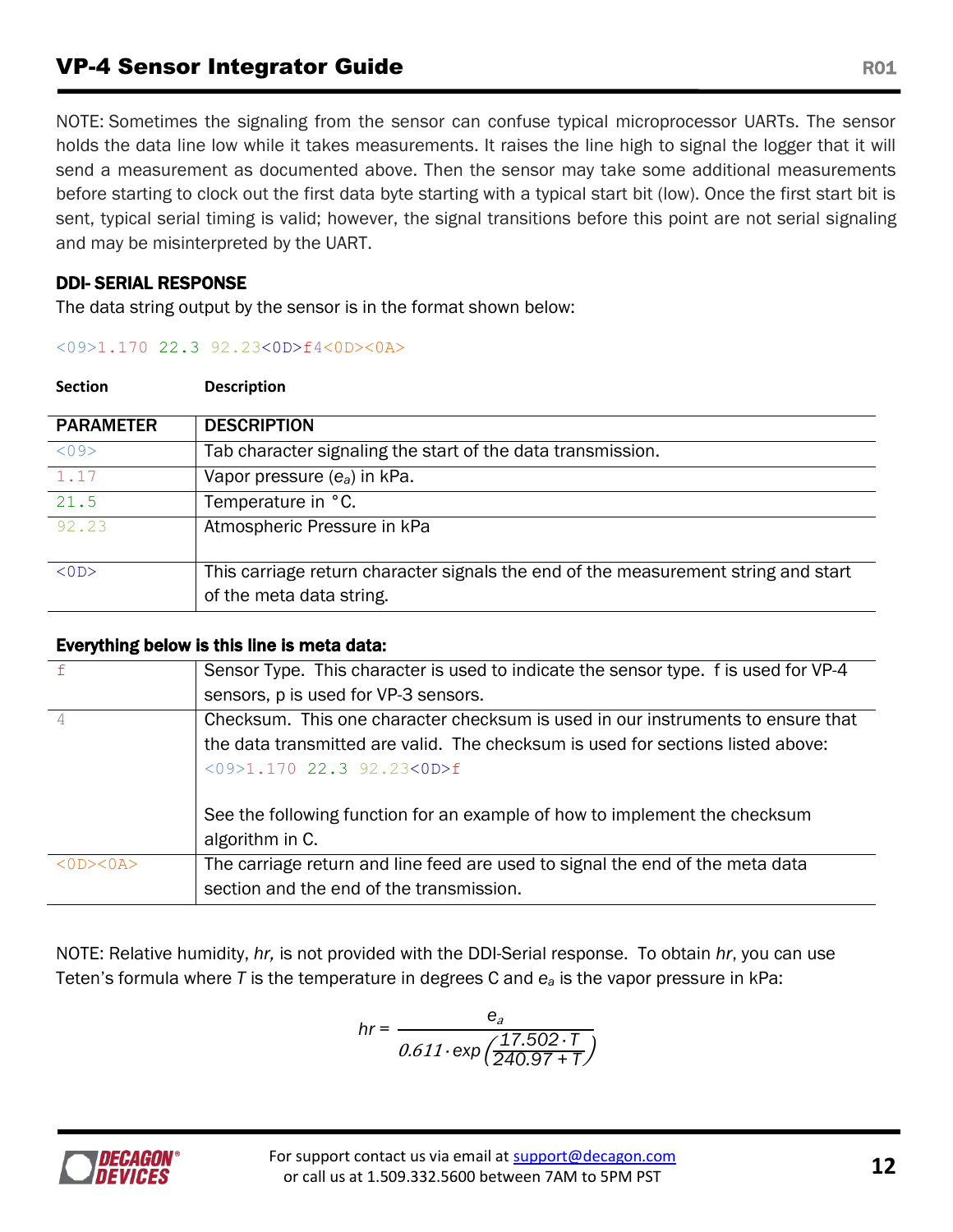## **VP-4 Sensor Integrator Guide Community Community Community Community Community Community Community Community Community R01**

NOTE: Sometimes the signaling from the sensor can confuse typical microprocessor UARTs. The sensor holds the data line low while it takes measurements. It raises the line high to signal the logger that it will send a measurement as documented above. Then the sensor may take some additional measurements before starting to clock out the first data byte starting with a typical start bit (low). Once the first start bit is sent, typical serial timing is valid; however, the signal transitions before this point are not serial signaling and may be misinterpreted by the UART.

## DDI- SERIAL RESPONSE

**Section Description**

The data string output by the sensor is in the format shown below:

#### <09>1.170 22.3 92.23<0D>f4<0D><0A>

| <b>PARAMETER</b> | <b>DESCRIPTION</b>                                                                 |
|------------------|------------------------------------------------------------------------------------|
| < 0.9            | Tab character signaling the start of the data transmission.                        |
| 1.17             | Vapor pressure $(e_a)$ in kPa.                                                     |
| 21.5             | Temperature in °C.                                                                 |
| 92.23            | Atmospheric Pressure in kPa                                                        |
| $<$ 0 D $>$      | This carriage return character signals the end of the measurement string and start |
|                  | of the meta data string.                                                           |

#### Everything below is this line is meta data:

| f                         | Sensor Type. This character is used to indicate the sensor type. f is used for VP-4 |
|---------------------------|-------------------------------------------------------------------------------------|
|                           | sensors, p is used for VP-3 sensors.                                                |
| $\overline{4}$            | Checksum. This one character checksum is used in our instruments to ensure that     |
|                           | the data transmitted are valid. The checksum is used for sections listed above:     |
|                           | $<09>1.170$ 22.3 92.23<0D>f                                                         |
|                           |                                                                                     |
|                           | See the following function for an example of how to implement the checksum          |
|                           | algorithm in C.                                                                     |
| $<\Omega$ D> $<\Omega$ A> | The carriage return and line feed are used to signal the end of the meta data       |
|                           | section and the end of the transmission.                                            |
|                           |                                                                                     |

NOTE: Relative humidity, *hr,* is not provided with the DDI-Serial response. To obtain *hr*, you can use Teten's formula where *T* is the temperature in degrees C and *e<sup>a</sup>* is the vapor pressure in kPa:

$$
hr = \frac{e_a}{0.611 \cdot \exp\left(\frac{17.502 \cdot T}{240.97 + T}\right)}
$$